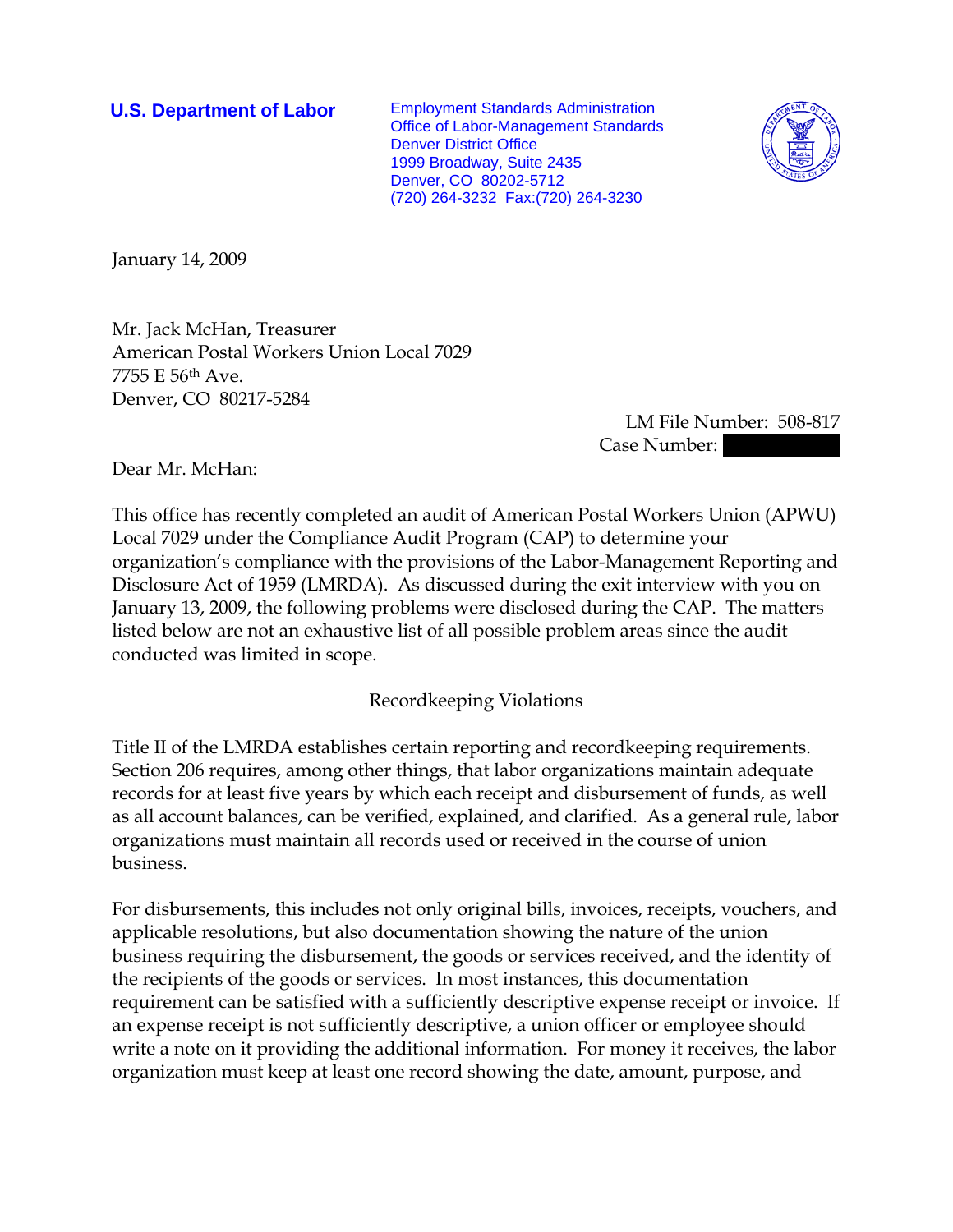**U.S. Department of Labor** Employment Standards Administration Office of Labor-Management Standards Denver District Office 1999 Broadway, Suite 2435 Denver, CO 80202-5712 (720) 264-3232 Fax:(720) 264-3230



January 14, 2009

Mr. Jack McHan, Treasurer American Postal Workers Union Local 7029 7755 E 56th Ave. Denver, CO 80217-5284

> LM File Number: 508-817 Case Number:

Dear Mr. McHan:

This office has recently completed an audit of American Postal Workers Union (APWU) Local 7029 under the Compliance Audit Program (CAP) to determine your organization's compliance with the provisions of the Labor-Management Reporting and Disclosure Act of 1959 (LMRDA). As discussed during the exit interview with you on January 13, 2009, the following problems were disclosed during the CAP. The matters listed below are not an exhaustive list of all possible problem areas since the audit conducted was limited in scope.

#### Recordkeeping Violations

Title II of the LMRDA establishes certain reporting and recordkeeping requirements. Section 206 requires, among other things, that labor organizations maintain adequate records for at least five years by which each receipt and disbursement of funds, as well as all account balances, can be verified, explained, and clarified. As a general rule, labor organizations must maintain all records used or received in the course of union business.

For disbursements, this includes not only original bills, invoices, receipts, vouchers, and applicable resolutions, but also documentation showing the nature of the union business requiring the disbursement, the goods or services received, and the identity of the recipients of the goods or services. In most instances, this documentation requirement can be satisfied with a sufficiently descriptive expense receipt or invoice. If an expense receipt is not sufficiently descriptive, a union officer or employee should write a note on it providing the additional information. For money it receives, the labor organization must keep at least one record showing the date, amount, purpose, and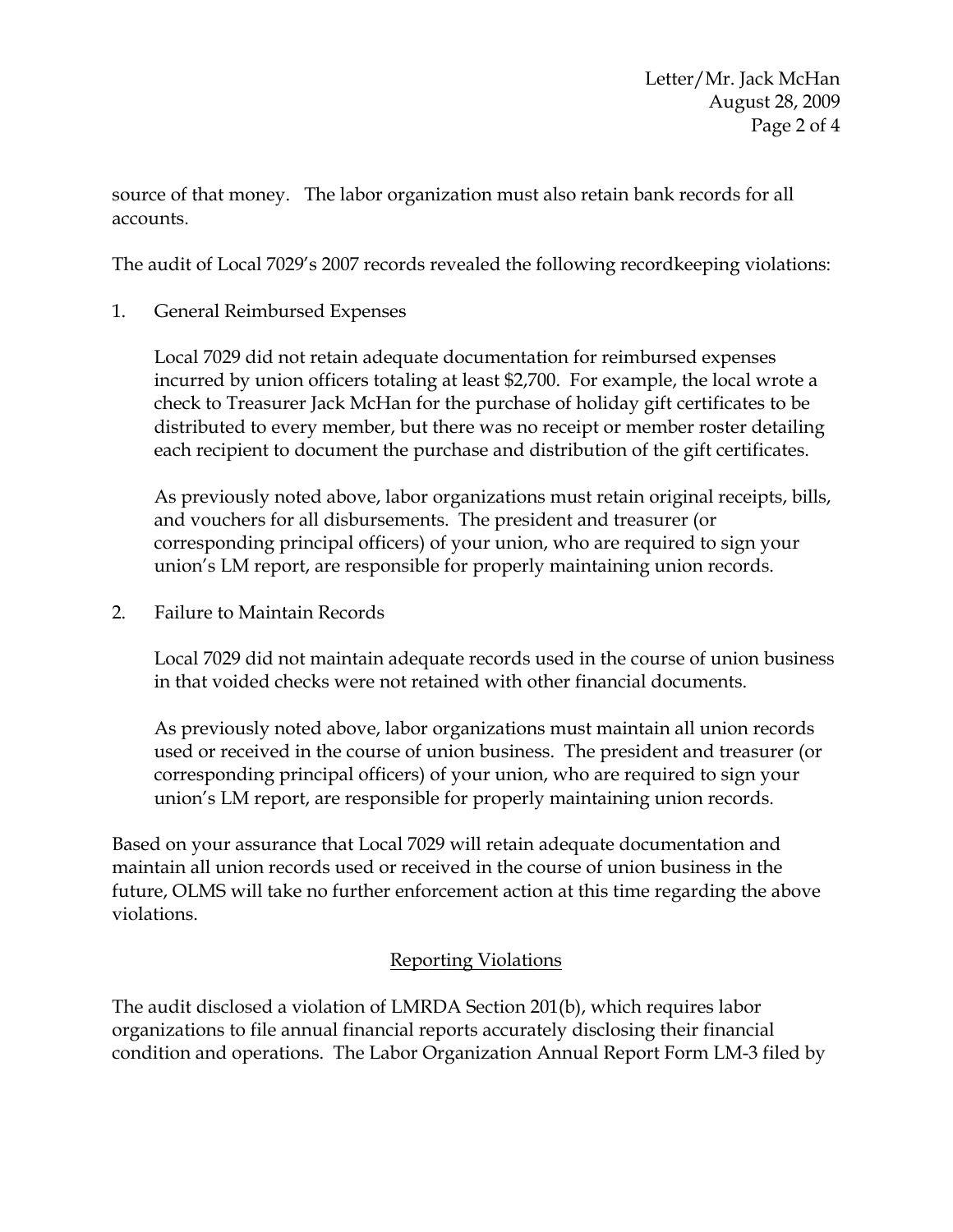source of that money. The labor organization must also retain bank records for all accounts.

The audit of Local 7029's 2007 records revealed the following recordkeeping violations:

1. General Reimbursed Expenses

Local 7029 did not retain adequate documentation for reimbursed expenses incurred by union officers totaling at least \$2,700. For example, the local wrote a check to Treasurer Jack McHan for the purchase of holiday gift certificates to be distributed to every member, but there was no receipt or member roster detailing each recipient to document the purchase and distribution of the gift certificates.

As previously noted above, labor organizations must retain original receipts, bills, and vouchers for all disbursements. The president and treasurer (or corresponding principal officers) of your union, who are required to sign your union's LM report, are responsible for properly maintaining union records.

2. Failure to Maintain Records

Local 7029 did not maintain adequate records used in the course of union business in that voided checks were not retained with other financial documents.

As previously noted above, labor organizations must maintain all union records used or received in the course of union business. The president and treasurer (or corresponding principal officers) of your union, who are required to sign your union's LM report, are responsible for properly maintaining union records.

Based on your assurance that Local 7029 will retain adequate documentation and maintain all union records used or received in the course of union business in the future, OLMS will take no further enforcement action at this time regarding the above violations.

# Reporting Violations

The audit disclosed a violation of LMRDA Section 201(b), which requires labor organizations to file annual financial reports accurately disclosing their financial condition and operations. The Labor Organization Annual Report Form LM-3 filed by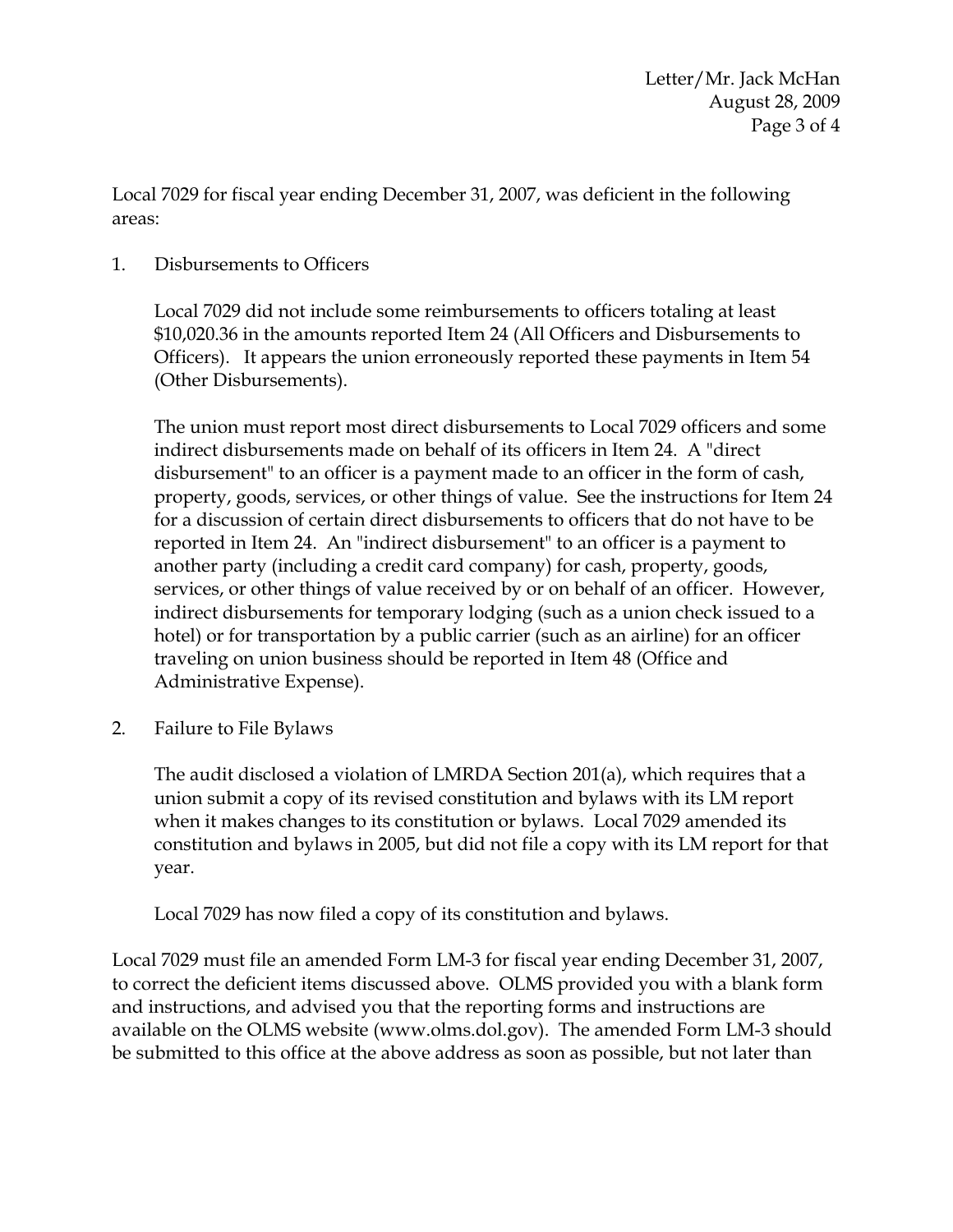Local 7029 for fiscal year ending December 31, 2007, was deficient in the following areas:

### 1. Disbursements to Officers

Local 7029 did not include some reimbursements to officers totaling at least \$10,020.36 in the amounts reported Item 24 (All Officers and Disbursements to Officers). It appears the union erroneously reported these payments in Item 54 (Other Disbursements).

The union must report most direct disbursements to Local 7029 officers and some indirect disbursements made on behalf of its officers in Item 24. A "direct disbursement" to an officer is a payment made to an officer in the form of cash, property, goods, services, or other things of value. See the instructions for Item 24 for a discussion of certain direct disbursements to officers that do not have to be reported in Item 24. An "indirect disbursement" to an officer is a payment to another party (including a credit card company) for cash, property, goods, services, or other things of value received by or on behalf of an officer. However, indirect disbursements for temporary lodging (such as a union check issued to a hotel) or for transportation by a public carrier (such as an airline) for an officer traveling on union business should be reported in Item 48 (Office and Administrative Expense).

2. Failure to File Bylaws

The audit disclosed a violation of LMRDA Section 201(a), which requires that a union submit a copy of its revised constitution and bylaws with its LM report when it makes changes to its constitution or bylaws. Local 7029 amended its constitution and bylaws in 2005, but did not file a copy with its LM report for that year.

Local 7029 has now filed a copy of its constitution and bylaws.

Local 7029 must file an amended Form LM-3 for fiscal year ending December 31, 2007, to correct the deficient items discussed above. OLMS provided you with a blank form and instructions, and advised you that the reporting forms and instructions are available on the OLMS website (www.olms.dol.gov). The amended Form LM-3 should be submitted to this office at the above address as soon as possible, but not later than